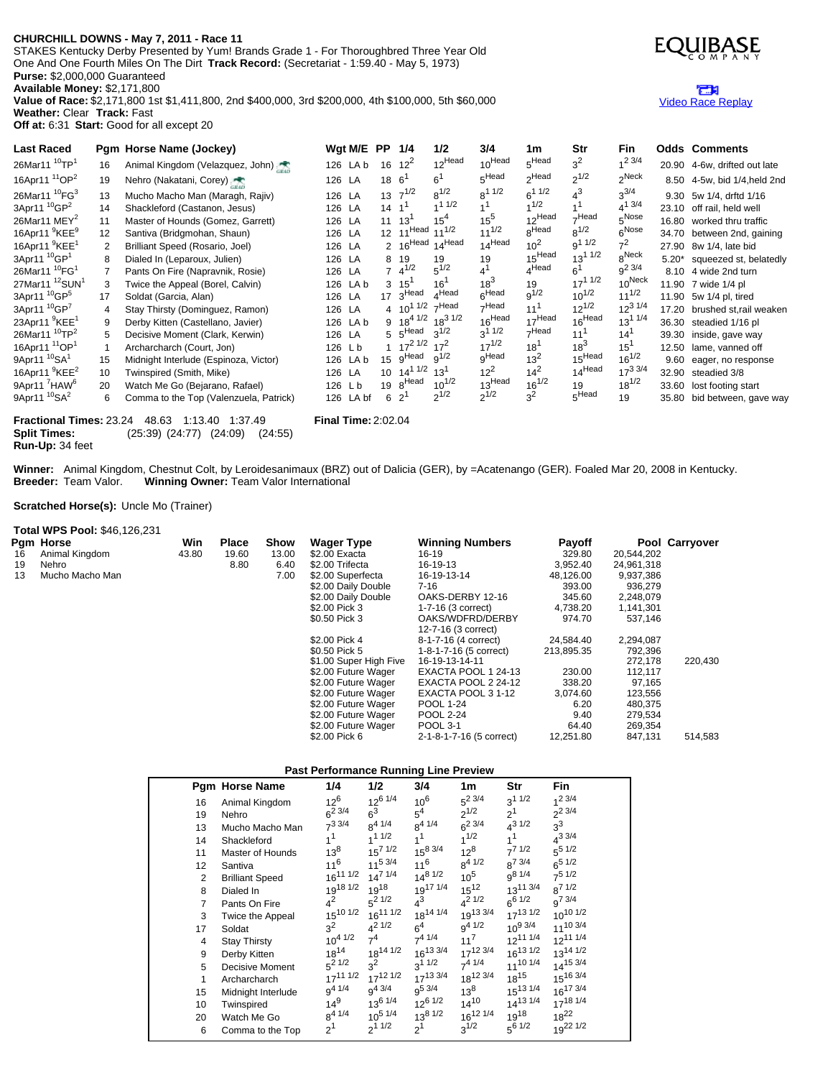### **CHURCHILL DOWNS - May 7, 2011 - Race 11**

STAKES Kentucky Derby Presented by Yum! Brands Grade 1 - For Thoroughbred Three Year Old One And One Fourth Miles On The Dirt **Track Record:** (Secretariat - 1:59.40 - May 5, 1973) **Purse:** \$2,000,000 Guaranteed **Available Money:** \$2,171,800

**Value of Race:** \$2,171,800 1st \$1,411,800, 2nd \$400,000, 3rd \$200,000, 4th \$100,000, 5th \$60,000 **Weather:** Clear **Track:** Fast **Off at:** 6:31 **Start:** Good for all except 20

Last Raced Pgm Horse Name (Jockey) Wgt M/E PP 1/4 1/2 3/4 1m Str Fin Odds Comments<br>26Mar11<sup>10</sup>TP<sup>1</sup> 16 Animal Kingdom (Velazquez, John) 126 LA b 16 12<sup>2</sup> 12<sup>Head</sup> 10<sup>Head</sup> 5<sup>Head</sup> 3<sup>2</sup> 1<sup>2 3/4</sup> 2000 16: 1216 13  $26$ Mar11  $^{10}TP<sup>1</sup>$ 16 Animal Kingdom (Velazquez, John) 126 LA b  $16 \t 12^2$  $10^{Head}$  $5<sup>Head</sup>$  $3<sup>2</sup>$  $1^{2}$  3/4<br>2<sup>Neck</sup> 20.90 4-6w, drifted out late 16Apr11 <sup>11</sup>OP<sup>2</sup> 19 Nehro (Nakatani, Corey) 126 LA 18 6<sup>1</sup> 6 1 5 Head 2  $2^{Head}$  $2^{1/2}$ 8.50 4-5w, bid 1/4,held 2nd 26Mar11 <sup>10</sup>FG<sup>3</sup> 13 Mucho Macho Man (Maragh, Rajiv) 126 LA 13  $7^{1/2}$ <br>14 Shackleford (Castanon, Jesus) 126 LA 14 1<sup>1</sup>  $8^{1/2}$  $8^1$  1/2  $6<sup>1 1/2</sup>$  $4^3$  $3^{3/4}$ 9.30 5w 1/4, drftd 1/16 3Apr11 <sup>10</sup>GP<sup>2</sup> 14 Shackleford (Castanon, Jesus) 126 LA 14 1<sup>1</sup><br>11 Master of Hounds (Gomez, Garrett) 126 LA 11 13<sup>1</sup>  $1^{11/2}$  1  $1<sup>1</sup>$  $1^{1/2}$  1  $1<sup>1</sup>$  $4^{13/4}$ <br> $5^{Nose}$ 23.10 off rail, held well 26Mar11 MEY<sup>2</sup> 11 Master of Hounds (Gomez, Garrett) 126 LA  $11 \t 13^1 \t 15^4$ <br>12 Santiva (Bridgmohan, Shaun) 126 LA 12  $11^{Head} \t 11^{1/2}$  $15^{4}$  $\frac{15^5}{11^{1/2}}$  $12$ Head  $7^{Head}_{8^{1/2}}$   $5^{Nose}_{6^{Nose}}$ 16.80 worked thru traffic 16Apr11 <sup>9</sup>KEE<sup>9</sup> 12 Santiva (Bridgmohan, Shaun) 126 LA 12 11<sup>Head</sup> 11<sup>1/2</sup> 11<sup>1/2</sup> 8<sup>Head</sup> 14<sup>Head</sup> 10<sup>2</sup> 8<sup>Head</sup> 10<sup>2</sup>  $8^{\mbox{\small\sf \bar Head}}$  $8^{1/2}$ 34.70 between 2nd, gaining 16Apr11 <sup>9</sup>KEE<sup>1</sup> 2 Brilliant Speed (Rosario, Joel) 126 LA 2 16<sup>Head</sup> 14<sup>Head</sup> 14<sup>Head</sup> 10<sup>2</sup><br>8 Dialed In (Leparoux, Julien) 126 I A R 19 19 19 19 19 9<sup>1 1/2</sup> 7  $\frac{7^2}{8^{\text{Neck}}}$ 27.90 8w 1/4, late bid 3Apr11 <sup>10</sup>GP<sup>1</sup> 8 Dialed In (Leparoux, Julien)<br>
126 LA  $\begin{array}{ccc} 8 & 19 & 19 & 19 \end{array}$  13<sup>1 1/2</sup><br>
126 LA  $\begin{array}{ccc} 7 & 4^{1/2} & 5^{1/2} & 4^1 & 4^{11} & 4^{11} & 4^{11} \end{array}$ 5.20\* squeezed st, belatedly  $26$ Mar11 $\overline{^{10}}$ FG<sup>1</sup> 7 Pants On Fire (Napravnik, Rosie) 126 LA 7  $4^{1/2}$ <br>3 Twice the Appeal (Borel, Calvin) 126 LA b 3  $15^1$  $5^{1/2}$  $4^{1}$ 4 Head 6  $\frac{6^1}{17^1}$  1/2  $9^2\frac{3}{4}$ <br>10<sup>Neck</sup> 8.10 4 wide 2nd turn  $27$ Mar11 $12$ SUN $1$ 3 Twice the Appeal (Borel, Calvin) 126 LA b 3 15<sup>1</sup><br>17 Soldat (Garcia, Alan) 126 LA 17 3<sup>Head</sup>  $16<sup>1</sup>$  $18^3$ 19  $17^{11/2}$   $10^{Neck}$  11.90 7 wide 1/4 pl<br>9<sup>1/2</sup>  $10^{1/2}$   $11^{1/2}$  11.90 5w 1/4 pl. tire 3Apr11 <sup>10</sup>GP<sup>5</sup> 17 Soldat (Garcia, Alan) 126 LA  $4$ Head  $6^{Head}$   $9^{1/2}$ <br>  $7^{Head}$   $11^{1}$  $10^{1/2}$   $11^{1/2}$  11.90 5w 1/4 pl, tired<br> $12^{1/2}$   $12^{3/1/4}$  17.20 brushed st rail 3Apr11 <sup>10</sup>GP7 4 Stay Thirsty (Dominguez, Ramon) 126 LA 4  $10^{11/2}$  7<sup>Head</sup><br>9 Derby Kitten (Castellano, Javier) 126 LA b 9  $18^{4}$   $1/2$   $18^{3}$   $1/2$ 4  $10^{11/2}$  7 Head<br>9  $18^{41/2}$   $18^{31/2}$   $16^{11/2}$  $7^{Head}$   $11^{1}$ <br> $16^{Head}$   $17^{Head}$  $12^{1/2}$   $12^{3}$   $1/4$  17.20 brushed st,rail weaken<br> $16^{Head}$   $13^{1}$   $1/4$  36.30 steadied 1/16 <sup>nJ</sup> 23Apr11 <sup>9</sup>KEE<sup>1</sup> 9 Derby Kitten (Castellano, Javier) 126 LA b 9 18<sup>4 1/2</sup> 18<sup>3 1/2</sup> 16<sup>Head</sup> 17<sup>Head</sup> 18<sup>Head</sup> 13<sup>1 1/4</sup> 36.30 steadied 1/16 pl<br>5 Decisive Moment (Clark, Kerwin) 126 LA 5 5<sup>Head</sup> 3<sup>1/2</sup> 3<sup>1 1/2</sup> 7<sup>Head</sup> 11<sup>1</sup> 14<sup>1</sup> 39.30 i 26Mar11 <sup>10</sup>TP<sup>2</sup> 5 Decisive Moment (Clark, Kerwin) 126 LA 5  $5^{Head}$  3<sup>1/2</sup> 17<sup>2</sup><br>1 Archarcharch (Court, Jon) 126 L b 1  $17^{2}$  17<sup>2</sup>  $5 \overline{5}$ Head  $3^{1/2}$  $3^{1 \frac{1}{2}}$   $7^{1/2}$   $7^{1/2}$   $18^{1}$  $7$ Head  $14^{1}$ 39.30 inside, gave way 16Apr11 <sup>11</sup>OP<sup>1</sup> 1 Archarcharch (Court, Jon) 126 L b  $17^{1/2}$   $18^1$ <br>gHead  $13^2$  $18^3$ <br> $15^{\text{Head}}$  $\frac{15^1}{16^{1/2}}$ 12.50 lame, vanned off 9Apr11 <sup>10</sup>SA<sup>1</sup> 15 Midnight Interlude (Espinoza, Victor) 126 LA b 15 9<sup>Head</sup> 9<sup>1/2</sup><br>10 Twinspired (Smith, Mike) 126 LA 10 14<sup>1 1/2</sup> 13<sup>1</sup> 126 LA b 15  $9^{Head}$   $9^{1/2}$ gHead  $15^{\text{Head}}$   $16^{1/2}$  9.60 eager, no response<br> $14^{\text{Head}}$   $17^{3.3/4}$  32.90 steadied 3/8 16Apr11 <sup>9</sup>KEE<sup>2</sup> 10 Twinspired (Smith, Mike) 126 LA 10 14<sup>1 1/2</sup> 13<sup>1</sup><br>20 Watch Me Go (Beiarano, Rafael) 126 L b 19 8<sup>Head</sup> 10<sup>1/2</sup>  $12^2$ <br>13<sup>Head</sup>  $\frac{14^2}{16^{1/2}}$  $17^{3\,3/4}$  32.90 steadied 3/8<br> $18^{1/2}$  33.60 lost footing of 9Apr11<sup>7</sup>HAW<sup>6</sup> 20 Watch Me Go (Bejarano, Rafael) 126 L b 19  $8^{\text{Head}}$  10<sup>1/2</sup> 13<sup>Head</sup> 16<sup>1/2</sup> 19 18<sup>1/2</sup> 33.60 lost footing start 6 Comma to the Top (Valenzuela, Patrick) 126 LA bf 6 2<sup>1</sup> 2<sup>1/2</sup> 2<sup>1/2</sup> 3<sup>2</sup> 5<sup>Head</sup> 19 35.80 bid between 9Apr11 <sup>10</sup>SA<sup>2</sup> 6 Comma to the Top (Valenzuela, Patrick)  $2^{1/2}$  2  $2^{1/2}$  $3^2$ 5Head 19 35.80 bid between, gave way

**Fractional Times:** 23.24 48.63 1:13.40 1:37.49 **Final Time:** 2:02.04 **Split Times:** (25:39) (24:77) (24:09) (24:55) **Run-Up:** 34 feet

**Winner:** Animal Kingdom, Chestnut Colt, by Leroidesanimaux (BRZ) out of Dalicia (GER), by =Acatenango (GER). Foaled Mar 20, 2008 in Kentucky. **Breeder:** Team Valor. **Winning Owner:** Team Valor International

### **Scratched Horse(s):** Uncle Mo (Trainer)

|    | <b>Total WPS Pool: \$46,126,231</b> |       |              |             |                        |                          |               |            |                |
|----|-------------------------------------|-------|--------------|-------------|------------------------|--------------------------|---------------|------------|----------------|
|    | Pgm Horse                           | Win   | <b>Place</b> | <b>Show</b> | <b>Wager Type</b>      | <b>Winning Numbers</b>   | <b>Payoff</b> |            | Pool Carryover |
| 16 | Animal Kingdom                      | 43.80 | 19.60        | 13.00       | \$2.00 Exacta          | 16-19                    | 329.80        | 20,544,202 |                |
| 19 | Nehro                               |       | 8.80         | 6.40        | \$2.00 Trifecta        | 16-19-13                 | 3.952.40      | 24,961,318 |                |
| 13 | Mucho Macho Man                     |       |              | 7.00        | \$2.00 Superfecta      | 16-19-13-14              | 48,126.00     | 9,937,386  |                |
|    |                                     |       |              |             | \$2.00 Daily Double    | $7 - 16$                 | 393.00        | 936,279    |                |
|    |                                     |       |              |             | \$2.00 Daily Double    | OAKS-DERBY 12-16         | 345.60        | 2,248,079  |                |
|    |                                     |       |              |             | \$2.00 Pick 3          | 1-7-16 (3 correct)       | 4,738.20      | 1,141,301  |                |
|    |                                     |       |              |             | \$0.50 Pick 3          | OAKS/WDFRD/DERBY         | 974.70        | 537,146    |                |
|    |                                     |       |              |             |                        | 12-7-16 (3 correct)      |               |            |                |
|    |                                     |       |              |             | \$2.00 Pick 4          | 8-1-7-16 (4 correct)     | 24,584.40     | 2,294,087  |                |
|    |                                     |       |              |             | \$0.50 Pick 5          | 1-8-1-7-16 (5 correct)   | 213,895.35    | 792,396    |                |
|    |                                     |       |              |             | \$1.00 Super High Five | 16-19-13-14-11           |               | 272,178    | 220,430        |
|    |                                     |       |              |             | \$2.00 Future Wager    | EXACTA POOL 1 24-13      | 230.00        | 112,117    |                |
|    |                                     |       |              |             | \$2.00 Future Wager    | EXACTA POOL 2 24-12      | 338.20        | 97,165     |                |
|    |                                     |       |              |             | \$2.00 Future Wager    | EXACTA POOL 31-12        | 3,074.60      | 123,556    |                |
|    |                                     |       |              |             | \$2.00 Future Wager    | <b>POOL 1-24</b>         | 6.20          | 480,375    |                |
|    |                                     |       |              |             | \$2.00 Future Wager    | <b>POOL 2-24</b>         | 9.40          | 279,534    |                |
|    |                                     |       |              |             | \$2.00 Future Wager    | <b>POOL 3-1</b>          | 64.40         | 269,354    |                |
|    |                                     |       |              |             | \$2.00 Pick 6          | 2-1-8-1-7-16 (5 correct) | 12,251.80     | 847,131    | 514,583        |

## **Past Performance Running Line Preview**

|                 | Pgm Horse Name         | 1/4             | 1/2               | 3/4            | 1m              | Str             | Fin                  |
|-----------------|------------------------|-----------------|-------------------|----------------|-----------------|-----------------|----------------------|
| 16              | Animal Kingdom         | $12^6$          | $12^6$ $1/4$      | $10^6$         | $5^2$ 3/4       | $3^{11/2}$      | $1^2$ 3/4            |
| 19              | Nehro                  | $6^{2}$ 3/4     | $6^3$             | 5 <sup>4</sup> | $2^{1/2}$       | 2 <sup>1</sup>  | $2^{2}3/4$           |
| 13              | Mucho Macho Man        | $7^3$ 3/4       | $8^{4}$ 1/4       | $8^{4}$ 1/4    | $6^{2}$ 3/4     | $4^{31/2}$      | $3^3$                |
| 14              | Shackleford            | $1^1$           | $1^{1/2}$         | 1 <sup>1</sup> | $1^{1/2}$       | 1 <sup>1</sup>  | $4^{3}3/4$           |
| 11              | Master of Hounds       | $13^8$          | $15^{7}$ $1/2$    | $15^{8}$ 3/4   | $12^{8}$        | $7^7$ 1/2       | $5^{\frac{5}{12}}$   |
| 12 <sup>2</sup> | Santiva                | $11^6$          | $11^{5}$ 3/4      | $11^6$         | $8^{4}$ 1/2     | $8^{7}$ 3/4     | $6^{5}$ 1/2          |
| 2               | <b>Brilliant Speed</b> | $16^{11}$ $1/2$ | $14^{7}$ $1/4$    | $14^{8}$ $1/2$ | $10^{5}$        | $9^{81/4}$      | $7^5$ 1/2            |
| 8               | Dialed In              | 1918 1/2        | $19^{18}$         | 1917 1/4       | $15^{12}$       | $13^{11}$ 3/4   | $R^7$ 1/2            |
| 7               | Pants On Fire          | $4^2$           | $5^2$ 1/2         | $4^3$          | $A^2$ 1/2       | $6^{6}$ 1/2     | $a^{7}$ 3/4          |
| 3               | Twice the Appeal       | $15^{10}$ $1/2$ | $16^{11}$ $1/2$   | 1814 1/4       | 1913 3/4        | $17^{13}$ $1/2$ | $10^{10}$ $1/2$      |
| 17              | Soldat                 | $3^2$           | $4^2$ 1/2         | 6 <sup>4</sup> | $9^{4} 1/2$     | $10^{9}$ 3/4    | 11 <sup>10 3/4</sup> |
| 4               | <b>Stay Thirsty</b>    | $10^{4}$ $1/2$  | 7 <sup>4</sup>    | $7^{4}$ 1/4    | $11^7$          | $12^{11}$ $1/4$ | 1211 1/4             |
| 9               | Derby Kitten           | $18^{14}$       | $18^{14}$ $1/2$   | $16^{13}$ 3/4  | $17^{12}$ 3/4   | $16^{13}$ $1/2$ | $13^{14}$ $1/2$      |
| 5               | <b>Decisive Moment</b> | $5^2$ 1/2       | $3^2$             | $3^{11/2}$     | $7^4$ 1/4       | $11^{10}$ $1/4$ | $14^{15}$ 3/4        |
| 1               | Archarcharch           | $17^{11}$ $1/2$ | $17^{12}$ $1/2$   | $17^{13}$ 3/4  | 1812 3/4        | $18^{15}$       | 1516 3/4             |
| 15              | Midnight Interlude     | $9^{4}$ $1/4$   | $9^{4}$ 3/4       | $9^{5}$ 3/4    | $13^8$          | $15^{13}$ $1/4$ | $16^{17}$ 3/4        |
| 10              | Twinspired             | $14^{9}$        | $13^{6}$ $1/4$    | $12^{6}$ 1/2   | $14^{10}$       | $14^{13}$ $1/4$ | 1718 1/4             |
| 20              | Watch Me Go            | $8^{4}$ 1/4     | $10^{5}$ $1/4$    | $13^{8}$ $1/2$ | $16^{12}$ $1/4$ | $19^{18}$       | $18^{22}$            |
| 6               | Comma to the Top       | 2 <sup>1</sup>  | 2 <sup>11/2</sup> | 2 <sup>1</sup> | $3^{1/2}$       | $5^{6}$ 1/2     | 1922 1/2             |



## m Video Race [Replay](http://www.equibase.com/premium/eqpRaceVideo.cfm?TRK=CD&CY=USA&DATE=05/07/2011&RACE=11&DAY=D&site=CHRR)